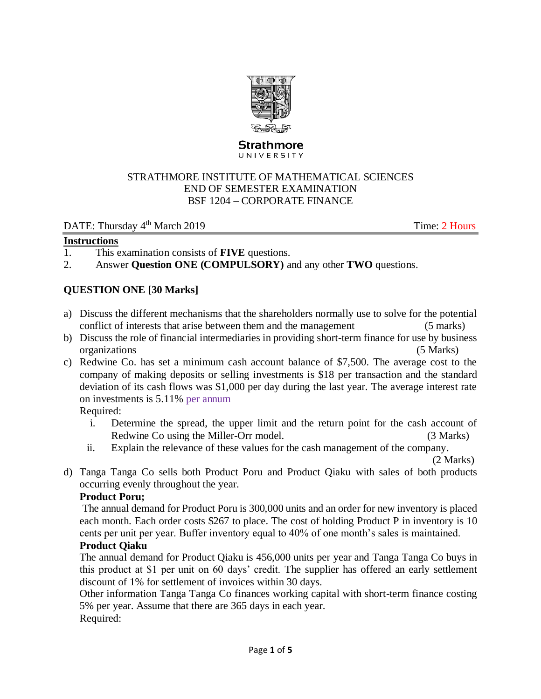

#### **Strathmore** UNIVERSITY

#### STRATHMORE INSTITUTE OF MATHEMATICAL SCIENCES END OF SEMESTER EXAMINATION BSF 1204 – CORPORATE FINANCE

#### DATE: Thursday 4<sup>th</sup> March 2019 Time: 2 Hours

#### **Instructions**

- 1. This examination consists of **FIVE** questions.
- 2. Answer **Question ONE (COMPULSORY)** and any other **TWO** questions.

### **QUESTION ONE [30 Marks]**

- a) Discuss the different mechanisms that the shareholders normally use to solve for the potential conflict of interests that arise between them and the management (5 marks)
- b) Discuss the role of financial intermediaries in providing short-term finance for use by business organizations (5 Marks)
- c) Redwine Co. has set a minimum cash account balance of \$7,500. The average cost to the company of making deposits or selling investments is \$18 per transaction and the standard deviation of its cash flows was \$1,000 per day during the last year. The average interest rate on investments is 5.11% per annum

Required:

- i. Determine the spread, the upper limit and the return point for the cash account of Redwine Co using the Miller-Orr model. (3 Marks)
- ii. Explain the relevance of these values for the cash management of the company.

(2 Marks)

d) Tanga Tanga Co sells both Product Poru and Product Qiaku with sales of both products occurring evenly throughout the year.

#### **Product Poru;**

The annual demand for Product Poru is 300,000 units and an order for new inventory is placed each month. Each order costs \$267 to place. The cost of holding Product P in inventory is 10 cents per unit per year. Buffer inventory equal to 40% of one month's sales is maintained.

### **Product Qiaku**

The annual demand for Product Qiaku is 456,000 units per year and Tanga Tanga Co buys in this product at \$1 per unit on 60 days' credit. The supplier has offered an early settlement discount of 1% for settlement of invoices within 30 days.

Other information Tanga Tanga Co finances working capital with short-term finance costing 5% per year. Assume that there are 365 days in each year. Required: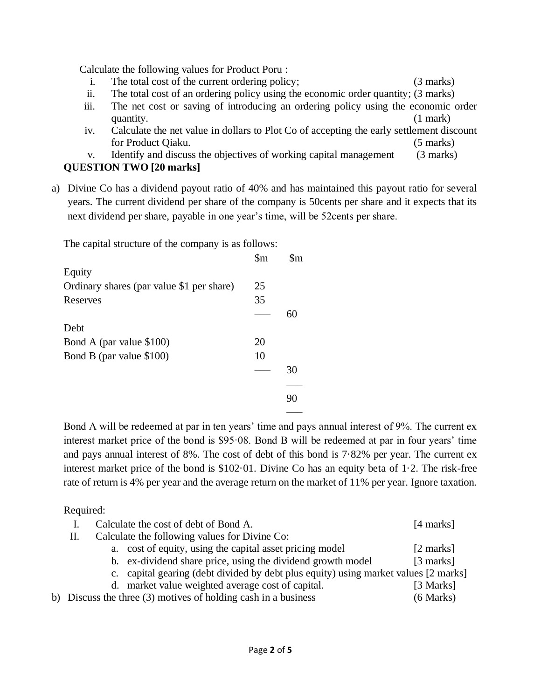Calculate the following values for Product Poru :

- i. The total cost of the current ordering policy; (3 marks)
- ii. The total cost of an ordering policy using the economic order quantity; (3 marks)
- iii. The net cost or saving of introducing an ordering policy using the economic order quantity. (1 mark)
- iv. Calculate the net value in dollars to Plot Co of accepting the early settlement discount for Product Qiaku. (5 marks)

v. Identify and discuss the objectives of working capital management (3 marks) **QUESTION TWO [20 marks]**

a) Divine Co has a dividend payout ratio of 40% and has maintained this payout ratio for several years. The current dividend per share of the company is 50cents per share and it expects that its next dividend per share, payable in one year's time, will be 52cents per share.

The capital structure of the company is as follows:

|                                           | $\mathop{\mathrm{Sm}}$ | $\mathbf{\$m}$ |
|-------------------------------------------|------------------------|----------------|
| Equity                                    |                        |                |
| Ordinary shares (par value \$1 per share) | 25                     |                |
| Reserves                                  | 35                     |                |
|                                           |                        | 60             |
| Debt                                      |                        |                |
| Bond A (par value \$100)                  | 20                     |                |
| Bond B (par value \$100)                  | 10                     |                |
|                                           |                        | 30             |
|                                           |                        |                |
|                                           |                        | 90             |
|                                           |                        |                |

Bond A will be redeemed at par in ten years' time and pays annual interest of 9%. The current ex interest market price of the bond is \$95·08. Bond B will be redeemed at par in four years' time and pays annual interest of 8%. The cost of debt of this bond is 7·82% per year. The current ex interest market price of the bond is \$102·01. Divine Co has an equity beta of 1·2. The risk-free rate of return is 4% per year and the average return on the market of 11% per year. Ignore taxation.

### Required:

|                                                     |  | Calculate the cost of debt of Bond A.                                               | [4 marks]           |  |  |  |
|-----------------------------------------------------|--|-------------------------------------------------------------------------------------|---------------------|--|--|--|
| Calculate the following values for Divine Co:<br>П. |  |                                                                                     |                     |  |  |  |
|                                                     |  | a. cost of equity, using the capital asset pricing model                            | $[2 \text{ marks}]$ |  |  |  |
|                                                     |  | b. ex-dividend share price, using the dividend growth model                         | [3 marks]           |  |  |  |
|                                                     |  | c. capital gearing (debt divided by debt plus equity) using market values [2 marks] |                     |  |  |  |
|                                                     |  | d. market value weighted average cost of capital.                                   | [3 Marks]           |  |  |  |
|                                                     |  | b) Discuss the three $(3)$ motives of holding cash in a business                    | $(6$ Marks)         |  |  |  |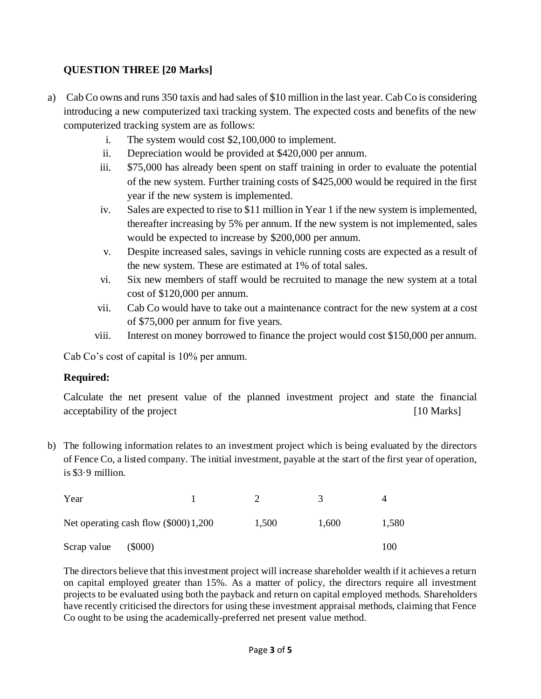# **QUESTION THREE [20 Marks]**

- a) Cab Co owns and runs 350 taxis and had sales of \$10 million in the last year. Cab Co is considering introducing a new computerized taxi tracking system. The expected costs and benefits of the new computerized tracking system are as follows:
	- i. The system would cost \$2,100,000 to implement.
	- ii. Depreciation would be provided at \$420,000 per annum.
	- iii. \$75,000 has already been spent on staff training in order to evaluate the potential of the new system. Further training costs of \$425,000 would be required in the first year if the new system is implemented.
	- iv. Sales are expected to rise to \$11 million in Year 1 if the new system is implemented, thereafter increasing by 5% per annum. If the new system is not implemented, sales would be expected to increase by \$200,000 per annum.
	- v. Despite increased sales, savings in vehicle running costs are expected as a result of the new system. These are estimated at 1% of total sales.
	- vi. Six new members of staff would be recruited to manage the new system at a total cost of \$120,000 per annum.
	- vii. Cab Co would have to take out a maintenance contract for the new system at a cost of \$75,000 per annum for five years.
	- viii. Interest on money borrowed to finance the project would cost \$150,000 per annum.

Cab Co's cost of capital is 10% per annum.

### **Required:**

Calculate the net present value of the planned investment project and state the financial acceptability of the project [10 Marks]

b) The following information relates to an investment project which is being evaluated by the directors of Fence Co, a listed company. The initial investment, payable at the start of the first year of operation, is \$3·9 million.

| Year                                   |       |       | 4     |
|----------------------------------------|-------|-------|-------|
| Net operating cash flow $(\$000)1,200$ | 1.500 | 1.600 | 1,580 |
| Scrap value<br>(5000)                  |       |       | 100   |

The directors believe that this investment project will increase shareholder wealth if it achieves a return on capital employed greater than 15%. As a matter of policy, the directors require all investment projects to be evaluated using both the payback and return on capital employed methods. Shareholders have recently criticised the directors for using these investment appraisal methods, claiming that Fence Co ought to be using the academically-preferred net present value method.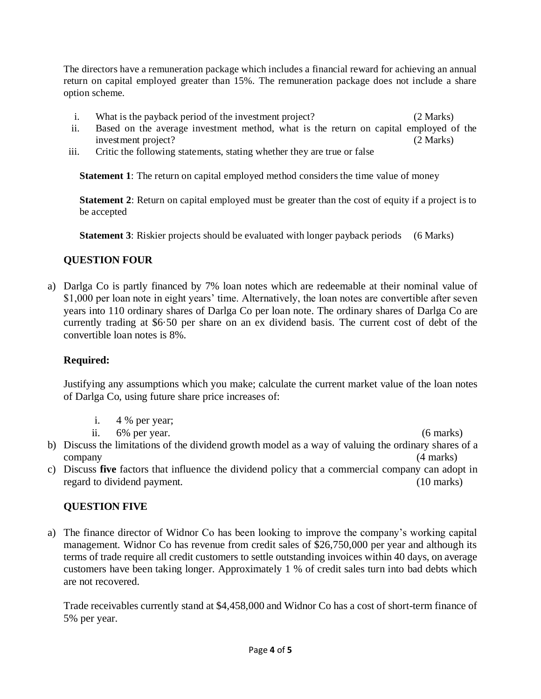The directors have a remuneration package which includes a financial reward for achieving an annual return on capital employed greater than 15%. The remuneration package does not include a share option scheme.

- i. What is the payback period of the investment project? (2 Marks)
- ii. Based on the average investment method, what is the return on capital employed of the investment project? (2 Marks)
- iii. Critic the following statements, stating whether they are true or false

**Statement 1**: The return on capital employed method considers the time value of money

**Statement 2**: Return on capital employed must be greater than the cost of equity if a project is to be accepted

**Statement 3**: Riskier projects should be evaluated with longer payback periods (6 Marks)

# **QUESTION FOUR**

a) Darlga Co is partly financed by 7% loan notes which are redeemable at their nominal value of \$1,000 per loan note in eight years' time. Alternatively, the loan notes are convertible after seven years into 110 ordinary shares of Darlga Co per loan note. The ordinary shares of Darlga Co are currently trading at \$6·50 per share on an ex dividend basis. The current cost of debt of the convertible loan notes is 8%.

# **Required:**

Justifying any assumptions which you make; calculate the current market value of the loan notes of Darlga Co, using future share price increases of:

- i. 4 % per year;
- ii. 6% per year. (6 marks)

- b) Discuss the limitations of the dividend growth model as a way of valuing the ordinary shares of a company (4 marks)
- c) Discuss **five** factors that influence the dividend policy that a commercial company can adopt in regard to dividend payment. (10 marks)

# **QUESTION FIVE**

a) The finance director of Widnor Co has been looking to improve the company's working capital management. Widnor Co has revenue from credit sales of \$26,750,000 per year and although its terms of trade require all credit customers to settle outstanding invoices within 40 days, on average customers have been taking longer. Approximately 1 % of credit sales turn into bad debts which are not recovered.

Trade receivables currently stand at \$4,458,000 and Widnor Co has a cost of short-term finance of 5% per year.